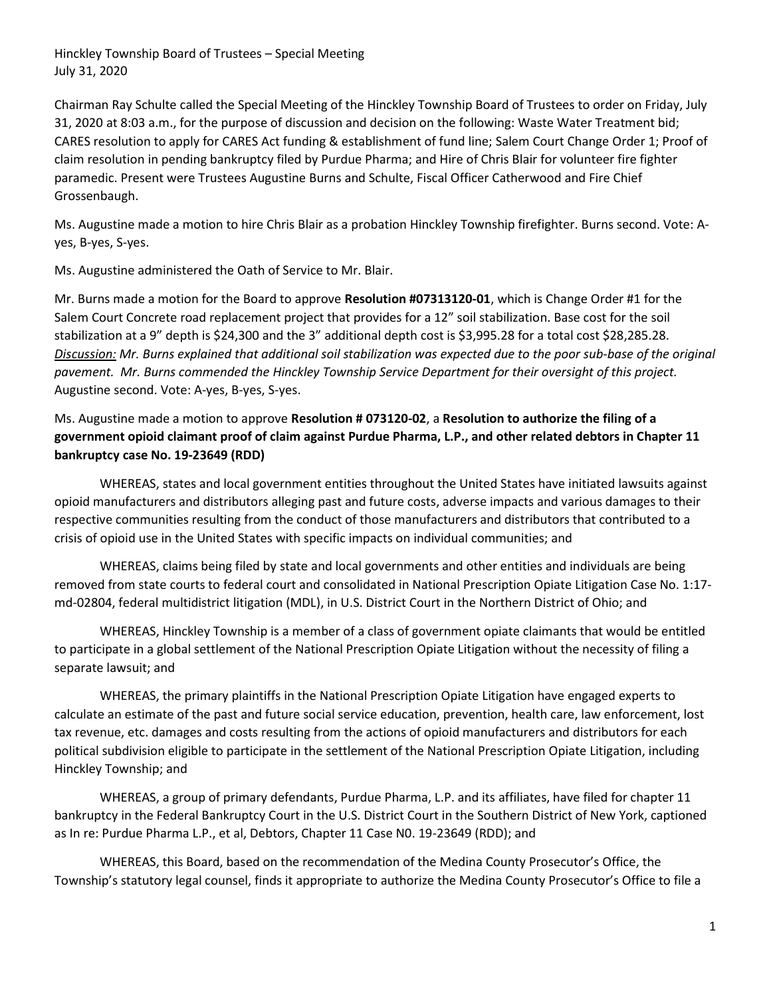Chairman Ray Schulte called the Special Meeting of the Hinckley Township Board of Trustees to order on Friday, July 31, 2020 at 8:03 a.m., for the purpose of discussion and decision on the following: Waste Water Treatment bid; CARES resolution to apply for CARES Act funding & establishment of fund line; Salem Court Change Order 1; Proof of claim resolution in pending bankruptcy filed by Purdue Pharma; and Hire of Chris Blair for volunteer fire fighter paramedic. Present were Trustees Augustine Burns and Schulte, Fiscal Officer Catherwood and Fire Chief Grossenbaugh.

Ms. Augustine made a motion to hire Chris Blair as a probation Hinckley Township firefighter. Burns second. Vote: Ayes, B-yes, S-yes.

Ms. Augustine administered the Oath of Service to Mr. Blair.

Mr. Burns made a motion for the Board to approve Resolution #07313120-01, which is Change Order #1 for the Salem Court Concrete road replacement project that provides for a 12" soil stabilization. Base cost for the soil stabilization at a 9" depth is \$24,300 and the 3" additional depth cost is \$3,995.28 for a total cost \$28,285.28. Discussion: Mr. Burns explained that additional soil stabilization was expected due to the poor sub-base of the original pavement. Mr. Burns commended the Hinckley Township Service Department for their oversight of this project. Augustine second. Vote: A-yes, B-yes, S-yes.

Ms. Augustine made a motion to approve Resolution # 073120-02, a Resolution to authorize the filing of a government opioid claimant proof of claim against Purdue Pharma, L.P., and other related debtors in Chapter 11 bankruptcy case No. 19-23649 (RDD)

 WHEREAS, states and local government entities throughout the United States have initiated lawsuits against opioid manufacturers and distributors alleging past and future costs, adverse impacts and various damages to their respective communities resulting from the conduct of those manufacturers and distributors that contributed to a crisis of opioid use in the United States with specific impacts on individual communities; and

 WHEREAS, claims being filed by state and local governments and other entities and individuals are being removed from state courts to federal court and consolidated in National Prescription Opiate Litigation Case No. 1:17 md-02804, federal multidistrict litigation (MDL), in U.S. District Court in the Northern District of Ohio; and

 WHEREAS, Hinckley Township is a member of a class of government opiate claimants that would be entitled to participate in a global settlement of the National Prescription Opiate Litigation without the necessity of filing a separate lawsuit; and

 WHEREAS, the primary plaintiffs in the National Prescription Opiate Litigation have engaged experts to calculate an estimate of the past and future social service education, prevention, health care, law enforcement, lost tax revenue, etc. damages and costs resulting from the actions of opioid manufacturers and distributors for each political subdivision eligible to participate in the settlement of the National Prescription Opiate Litigation, including Hinckley Township; and

 WHEREAS, a group of primary defendants, Purdue Pharma, L.P. and its affiliates, have filed for chapter 11 bankruptcy in the Federal Bankruptcy Court in the U.S. District Court in the Southern District of New York, captioned as In re: Purdue Pharma L.P., et al, Debtors, Chapter 11 Case N0. 19-23649 (RDD); and

 WHEREAS, this Board, based on the recommendation of the Medina County Prosecutor's Office, the Township's statutory legal counsel, finds it appropriate to authorize the Medina County Prosecutor's Office to file a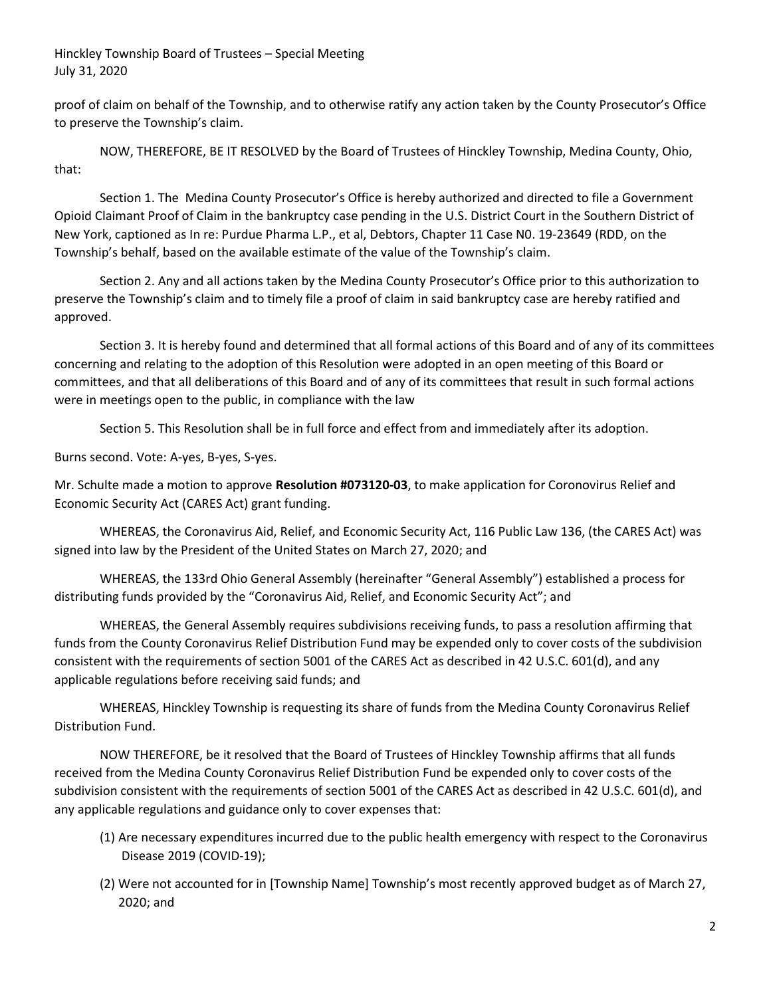proof of claim on behalf of the Township, and to otherwise ratify any action taken by the County Prosecutor's Office to preserve the Township's claim.

 NOW, THEREFORE, BE IT RESOLVED by the Board of Trustees of Hinckley Township, Medina County, Ohio, that:

 Section 1. The Medina County Prosecutor's Office is hereby authorized and directed to file a Government Opioid Claimant Proof of Claim in the bankruptcy case pending in the U.S. District Court in the Southern District of New York, captioned as In re: Purdue Pharma L.P., et al, Debtors, Chapter 11 Case N0. 19-23649 (RDD, on the Township's behalf, based on the available estimate of the value of the Township's claim.

 Section 2. Any and all actions taken by the Medina County Prosecutor's Office prior to this authorization to preserve the Township's claim and to timely file a proof of claim in said bankruptcy case are hereby ratified and approved.

 Section 3. It is hereby found and determined that all formal actions of this Board and of any of its committees concerning and relating to the adoption of this Resolution were adopted in an open meeting of this Board or committees, and that all deliberations of this Board and of any of its committees that result in such formal actions were in meetings open to the public, in compliance with the law

Section 5. This Resolution shall be in full force and effect from and immediately after its adoption.

Burns second. Vote: A-yes, B-yes, S-yes.

Mr. Schulte made a motion to approve Resolution #073120-03, to make application for Coronovirus Relief and Economic Security Act (CARES Act) grant funding.

 WHEREAS, the Coronavirus Aid, Relief, and Economic Security Act, 116 Public Law 136, (the CARES Act) was signed into law by the President of the United States on March 27, 2020; and

 WHEREAS, the 133rd Ohio General Assembly (hereinafter "General Assembly") established a process for distributing funds provided by the "Coronavirus Aid, Relief, and Economic Security Act"; and

 WHEREAS, the General Assembly requires subdivisions receiving funds, to pass a resolution affirming that funds from the County Coronavirus Relief Distribution Fund may be expended only to cover costs of the subdivision consistent with the requirements of section 5001 of the CARES Act as described in 42 U.S.C. 601(d), and any applicable regulations before receiving said funds; and

 WHEREAS, Hinckley Township is requesting its share of funds from the Medina County Coronavirus Relief Distribution Fund.

 NOW THEREFORE, be it resolved that the Board of Trustees of Hinckley Township affirms that all funds received from the Medina County Coronavirus Relief Distribution Fund be expended only to cover costs of the subdivision consistent with the requirements of section 5001 of the CARES Act as described in 42 U.S.C. 601(d), and any applicable regulations and guidance only to cover expenses that:

- (1) Are necessary expenditures incurred due to the public health emergency with respect to the Coronavirus Disease 2019 (COVID-19);
- (2) Were not accounted for in [Township Name] Township's most recently approved budget as of March 27, 2020; and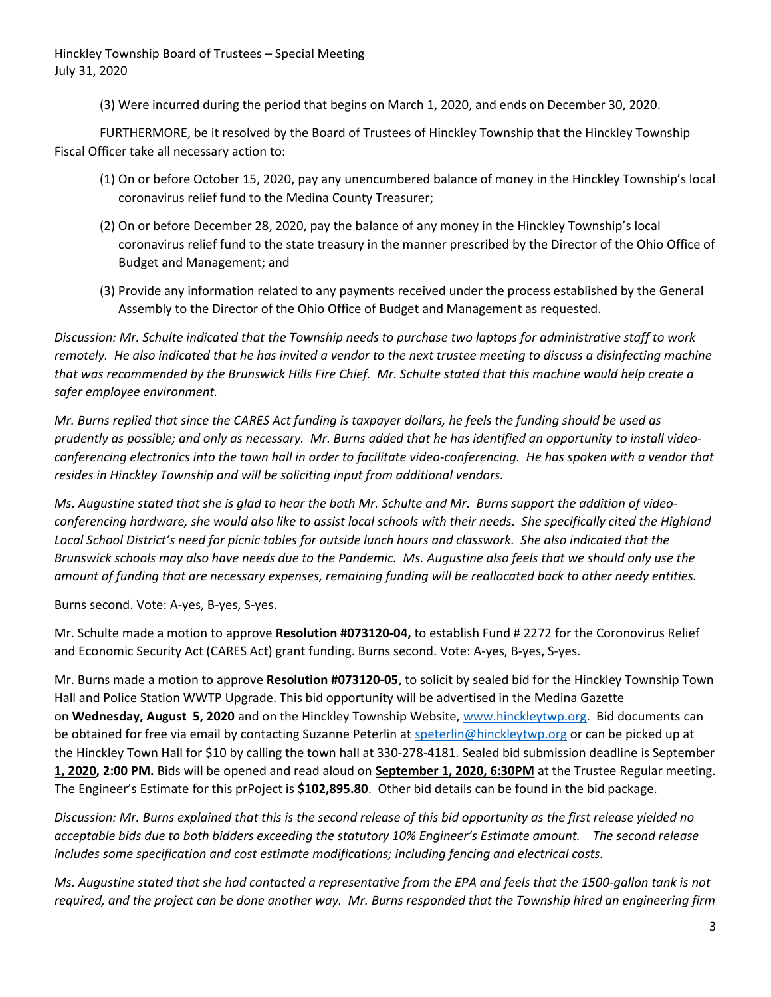(3) Were incurred during the period that begins on March 1, 2020, and ends on December 30, 2020.

 FURTHERMORE, be it resolved by the Board of Trustees of Hinckley Township that the Hinckley Township Fiscal Officer take all necessary action to:

- (1) On or before October 15, 2020, pay any unencumbered balance of money in the Hinckley Township's local coronavirus relief fund to the Medina County Treasurer;
- (2) On or before December 28, 2020, pay the balance of any money in the Hinckley Township's local coronavirus relief fund to the state treasury in the manner prescribed by the Director of the Ohio Office of Budget and Management; and
- (3) Provide any information related to any payments received under the process established by the General Assembly to the Director of the Ohio Office of Budget and Management as requested.

Discussion: Mr. Schulte indicated that the Township needs to purchase two laptops for administrative staff to work remotely. He also indicated that he has invited a vendor to the next trustee meeting to discuss a disinfecting machine that was recommended by the Brunswick Hills Fire Chief. Mr. Schulte stated that this machine would help create a safer employee environment.

Mr. Burns replied that since the CARES Act funding is taxpayer dollars, he feels the funding should be used as prudently as possible; and only as necessary. Mr. Burns added that he has identified an opportunity to install videoconferencing electronics into the town hall in order to facilitate video-conferencing. He has spoken with a vendor that resides in Hinckley Township and will be soliciting input from additional vendors.

Ms. Augustine stated that she is glad to hear the both Mr. Schulte and Mr. Burns support the addition of videoconferencing hardware, she would also like to assist local schools with their needs. She specifically cited the Highland Local School District's need for picnic tables for outside lunch hours and classwork. She also indicated that the Brunswick schools may also have needs due to the Pandemic. Ms. Augustine also feels that we should only use the amount of funding that are necessary expenses, remaining funding will be reallocated back to other needy entities.

Burns second. Vote: A-yes, B-yes, S-yes.

Mr. Schulte made a motion to approve Resolution #073120-04, to establish Fund # 2272 for the Coronovirus Relief and Economic Security Act (CARES Act) grant funding. Burns second. Vote: A-yes, B-yes, S-yes.

Mr. Burns made a motion to approve Resolution #073120-05, to solicit by sealed bid for the Hinckley Township Town Hall and Police Station WWTP Upgrade. This bid opportunity will be advertised in the Medina Gazette on Wednesday, August 5, 2020 and on the Hinckley Township Website, www.hinckleytwp.org. Bid documents can be obtained for free via email by contacting Suzanne Peterlin at speterlin@hinckleytwp.org or can be picked up at the Hinckley Town Hall for \$10 by calling the town hall at 330-278-4181. Sealed bid submission deadline is September 1, 2020, 2:00 PM. Bids will be opened and read aloud on September 1, 2020, 6:30PM at the Trustee Regular meeting. The Engineer's Estimate for this prPoject is \$102,895.80. Other bid details can be found in the bid package.

Discussion: Mr. Burns explained that this is the second release of this bid opportunity as the first release yielded no acceptable bids due to both bidders exceeding the statutory 10% Engineer's Estimate amount. The second release includes some specification and cost estimate modifications; including fencing and electrical costs.

Ms. Augustine stated that she had contacted a representative from the EPA and feels that the 1500-gallon tank is not required, and the project can be done another way. Mr. Burns responded that the Township hired an engineering firm